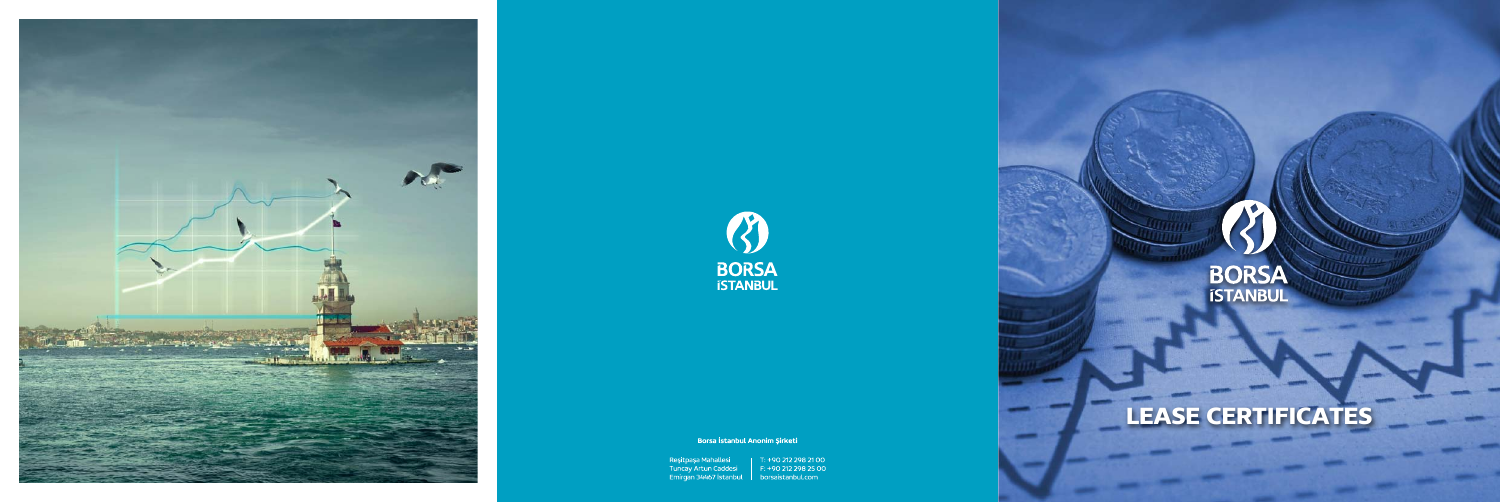



Borsa İstanbul Anonim Şirketi



# LEASE CERTIFICATES